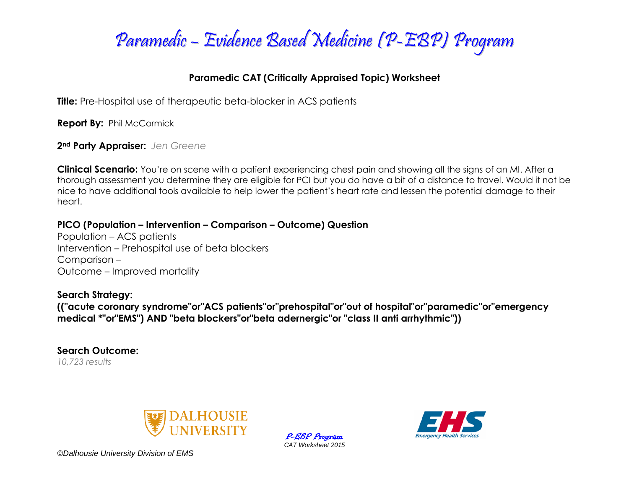

## **Paramedic CAT (Critically Appraised Topic) Worksheet**

**Title:** Pre-Hospital use of therapeutic beta-blocker in ACS patients

**Report By: Phil McCormick** 

**2nd Party Appraiser:** *Jen Greene*

**Clinical Scenario:** You're on scene with a patient experiencing chest pain and showing all the signs of an MI. After a thorough assessment you determine they are eligible for PCI but you do have a bit of a distance to travel. Would it not be nice to have additional tools available to help lower the patient's heart rate and lessen the potential damage to their heart.

**PICO (Population – Intervention – Comparison – Outcome) Question**

Population – ACS patients Intervention – Prehospital use of beta blockers Comparison – Outcome – Improved mortality

## **Search Strategy:**

**(("acute coronary syndrome"or"ACS patients"or"prehospital"or"out of hospital"or"paramedic"or"emergency medical \*"or"EMS") AND "beta blockers"or"beta adernergic"or "class II anti arrhythmic"))**

**Search Outcome:** *10,723 results*



P-EBP Program *CAT Worksheet 2015*



*©Dalhousie University Division of EMS*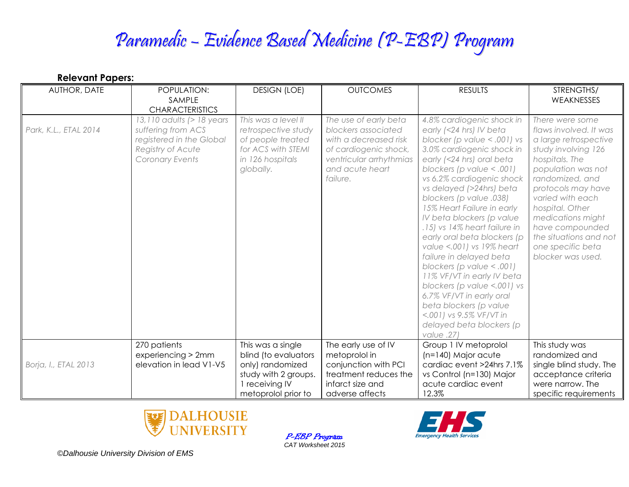## Paramedic – Evidence Based Medicine (P-EBP) Program

| <b>Relevant Papers:</b> |                                                                                                                     |                                                                                                                        |                                                                                                                                                          |                                                                                                                                                                                                                                                                                                                                                                                                                                                                                                                                                                                                                                                                                |                                                                                                                                                                                                                                                                                                                               |  |
|-------------------------|---------------------------------------------------------------------------------------------------------------------|------------------------------------------------------------------------------------------------------------------------|----------------------------------------------------------------------------------------------------------------------------------------------------------|--------------------------------------------------------------------------------------------------------------------------------------------------------------------------------------------------------------------------------------------------------------------------------------------------------------------------------------------------------------------------------------------------------------------------------------------------------------------------------------------------------------------------------------------------------------------------------------------------------------------------------------------------------------------------------|-------------------------------------------------------------------------------------------------------------------------------------------------------------------------------------------------------------------------------------------------------------------------------------------------------------------------------|--|
| AUTHOR, DATE            | POPULATION:<br>SAMPLE<br><b>CHARACTERISTICS</b>                                                                     | <b>DESIGN (LOE)</b>                                                                                                    | <b>OUTCOMES</b>                                                                                                                                          | <b>RESULTS</b>                                                                                                                                                                                                                                                                                                                                                                                                                                                                                                                                                                                                                                                                 | STRENGTHS/<br>WEAKNESSES                                                                                                                                                                                                                                                                                                      |  |
| Park, K.L., ETAL 2014   | 13,110 adults (> 18 years<br>suffering from ACS<br>registered in the Global<br>Registry of Acute<br>Coronary Events | This was a level II<br>retrospective study<br>of people treated<br>for ACS with STEMI<br>in 126 hospitals<br>globally. | The use of early beta<br>blockers associated<br>with a decreased risk<br>of cardiogenic shock,<br>ventricular arrhythmias<br>and acute heart<br>failure. | 4.8% cardiogenic shock in<br>early (<24 hrs) IV beta<br>blocker (p value $< .001$ ) vs<br>3.0% cardiogenic shock in<br>early (<24 hrs) oral beta<br>blockers (p value $< .001$ )<br>vs 6.2% cardiogenic shock<br>vs delayed (>24hrs) beta<br>blockers (p value .038)<br>15% Heart Failure in early<br>IV beta blockers (p value<br>.15) vs 14% heart failure in<br>early oral beta blockers (p<br>value <.001) vs 19% heart<br>failure in delayed beta<br>blockers (p value $< .001$ )<br>11% VF/VT in early IV beta<br>blockers (p value <.001) vs<br>6.7% VF/VT in early oral<br>beta blockers (p value<br><.001) vs 9.5% VF/VT in<br>delayed beta blockers (p<br>value .27) | There were some<br>flaws involved. It was<br>a large retrospective<br>study involving 126<br>hospitals. The<br>population was not<br>randomized, and<br>protocols may have<br>varied with each<br>hospital. Other<br>medications might<br>have compounded<br>the situations and not<br>one specific beta<br>blocker was used. |  |
| Borja, I., ETAL 2013    | 270 patients<br>experiencing > 2mm<br>elevation in lead V1-V5                                                       | This was a single<br>blind (to evaluators<br>only) randomized<br>study with 2 groups.<br>1 receiving IV                | The early use of IV<br>metoprolol in<br>conjunction with PCI<br>treatment reduces the<br>infarct size and                                                | Group 1 IV metoprolol<br>$(n=140)$ Major acute<br>cardiac event >24hrs 7.1%<br>vs Control (n=130) Major<br>acute cardiac event                                                                                                                                                                                                                                                                                                                                                                                                                                                                                                                                                 | This study was<br>randomized and<br>single blind study. The<br>acceptance criteria<br>were narrow. The                                                                                                                                                                                                                        |  |
|                         |                                                                                                                     | metoprolol prior to                                                                                                    | adverse affects                                                                                                                                          | 12.3%                                                                                                                                                                                                                                                                                                                                                                                                                                                                                                                                                                                                                                                                          | specific requirements                                                                                                                                                                                                                                                                                                         |  |



P-EBP Program *CAT Worksheet 2015*



*©Dalhousie University Division of EMS*